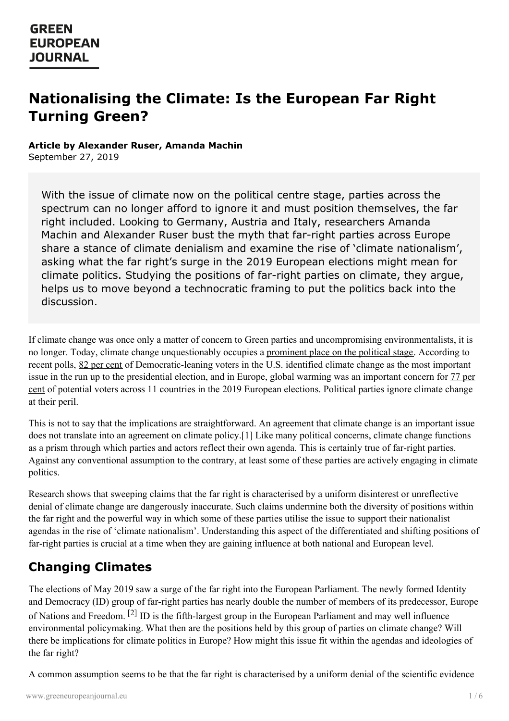# **Nationalising the Climate: Is the European Far Right Turning Green?**

#### **Article by Alexander Ruser, Amanda Machin**

September 27, 2019

With the issue of climate now on the political centre stage, parties across the spectrum can no longer afford to ignore it and must position themselves, the far right included. Looking to Germany, Austria and Italy, researchers Amanda Machin and Alexander Ruser bust the myth that far-right parties across Europe share a stance of climate denialism and examine the rise of 'climate nationalism', asking what the far right's surge in the 2019 European elections might mean for climate politics. Studying the positions of far-right parties on climate, they argue, helps us to move beyond a technocratic framing to put the politics back into the discussion.

If climate change was once only a matter of concern to Green parties and uncompromising environmentalists, it is no longer. Today, climate change unquestionably occupies a [prominent](https://www.greeneuropeanjournal.eu/climate-changes-politics/) place on the political stage. According to recent polls, 82 per [cent](http://cdn.cnn.com/cnn/2019/images/04/29/rel6a.-.2020.democrats.pdf) of Democratic-leaning voters in the U.S. identified climate change as the most important issue in the run up to the [presidential](https://europeanclimate.org/opinion-poll-european-elections-big-majority-of-potential-voters-want-political-parties-to-tackle-global-warming/) election, and in Europe, global warming was an important concern for 77 per cent of potential voters across 11 countries in the 2019 European elections. Political parties ignore climate change at their peril.

This is not to say that the implications are straightforward. An agreement that climate change is an important issue does not translate into an agreement on climate policy.[1] Like many political concerns, climate change functions as a prism through which parties and actors reflect their own agenda. This is certainly true of far-right parties. Against any conventional assumption to the contrary, at least some of these parties are actively engaging in climate politics.

Research shows that sweeping claims that the far right is characterised by a uniform disinterest or unreflective denial of climate change are dangerously inaccurate. Such claims undermine both the diversity of positions within the far right and the powerful way in which some of these parties utilise the issue to support their nationalist agendas in the rise of 'climate nationalism'. Understanding this aspect of the differentiated and shifting positions of far-right parties is crucial at a time when they are gaining influence at both national and European level.

## **Changing Climates**

The elections of May 2019 saw a surge of the far right into the European Parliament. The newly formed Identity and [Democracy](https://www.greeneuropeanjournal.eu) (ID) group of far-right parties has nearly double the number of members of its predecessor, Europe of Nations and Freedom. <sup>[2]</sup> ID is the fifth-largest group in the European Parliament and may well influence environmental policymaking. What then are the positions held by this group of parties on climate change? Will there be implications for climate politics in Europe? How might this issue fit within the agendas and ideologies of the far right?

A common assumption seems to be that the far right is characterised by a uniform denial of the scientific evidence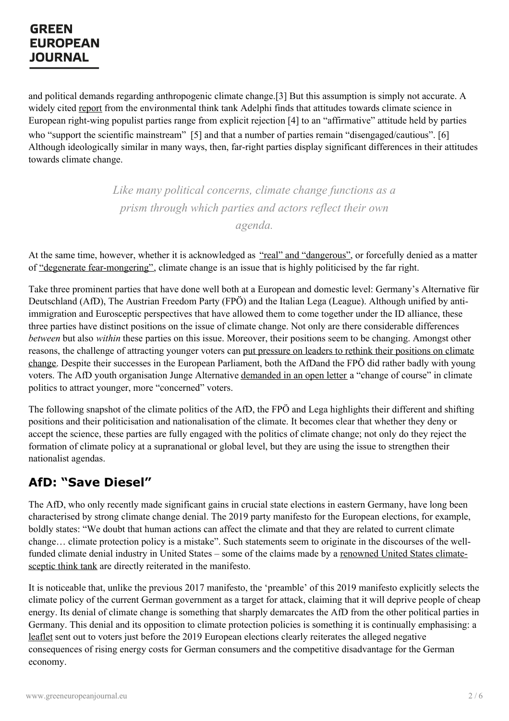and political demands regarding anthropogenic climate change.[3] But this assumption is simply not accurate. A widely cited [report](https://www.adelphi.de/en/in-focus/right-wing-populism-and-climate-policy-europe) from the environmental think tank Adelphi finds that attitudes towards climate science in European right-wing populist parties range from explicit rejection [4] to an "affirmative" attitude held by parties who "support the scientific mainstream" [5] and that a number of parties remain "disengaged/cautious". [6] Although ideologically similar in many ways, then, far-right parties display significant differences in their attitudes towards climate change.

> *Like many political concerns, climate change functions as a prism through which parties and actors reflect their own agenda.*

At the same time, however, whether it is acknowledged as "real" and ["dangerous"](https://www.goodcountry.org/global-vote/elections/hungary/candidates/viktor-orban), or forcefully denied as a matter of "degenerate [fear-mongering"](https://www.spiegel.de/international/germany/afd-seeks-votes-by-opposing-climate-protection-a-1265494.html), climate change is an issue that is highly politicised by the far right.

Take three prominent parties that have done well both at a European and domestic level: Germany's Alternative für Deutschland (AfD), The Austrian Freedom Party (FPÖ) and the Italian Lega (League). Although unified by antiimmigration and Eurosceptic perspectives that have allowed them to come together under the ID alliance, these three parties have distinct positions on the issue of climate change. Not only are there considerable differences *between* but also *within* these parties on this issue. Moreover, their positions seem to be changing. Amongst other reasons, the challenge of attracting younger voters can put pressure on leaders to rethink their positions on climate change. Despite their successes in the European [Parliament,](https://www.dissentmagazine.org/online_articles/the-european-far-rights-environmental-turn) both the AfDand the FPÖ did rather badly with young voters. The AfD youth organisation Junge Alternative [demanded](https://www.welt.de/politik/deutschland/article194321453/Nach-Europawahl-Berliner-AfD-Jugend-gegen-Leugnung-des-Klimawandels.html) in an open letter a "change of course" in climate politics to attract younger, more "concerned" voters.

The following snapshot of the climate politics of the AfD, the FPÖ and Lega highlights their different and shifting positions and their politicisation and nationalisation of the climate. It becomes clear that whether they deny or accept the science, these parties are fully engaged with the politics of climate change; not only do they reject the formation of climate policy at a supranational or global level, but they are using the issue to strengthen their nationalist agendas.

## **AfD: "Save Diesel"**

The AfD, who only recently made significant gains in crucial state elections in eastern Germany, have long been characterised by strong climate change denial. The 2019 party manifesto for the European elections, for example, boldly states: "We doubt that human actions can affect the climate and that they are related to current climate change… climate protection policy is a mistake". Such statements seem to originate in the discourses of the wellfunded climate denial industry in United States – some of the claims made by a renowned United States climatesceptic think tank are directly reiterated in the [manifesto.](https://www.npr.org/templates/story/story.php?storyId=5425355&t=1567443741297)

It is noticeable that, unlike the previous 2017 manifesto, the 'preamble' of this 2019 manifesto explicitly selects the [climate](https://www.greeneuropeanjournal.eu) policy of the current German government as a target for attack, claiming that it will deprive people of cheap energy. Its denial of climate change is something that sharply demarcates the AfD from the other political parties in Germany. This denial and its opposition to climate protection policies is something it is continually emphasising: a [leaflet](https://www.afd.de/wp-content/uploads/sites/111/2019/04/AfD_Bund_Kernpkte_Europawahl_Flyer_12-Seiter_WmD_RZ.pdf) sent out to voters just before the 2019 European elections clearly reiterates the alleged negative consequences of rising energy costs for German consumers and the competitive disadvantage for the German economy.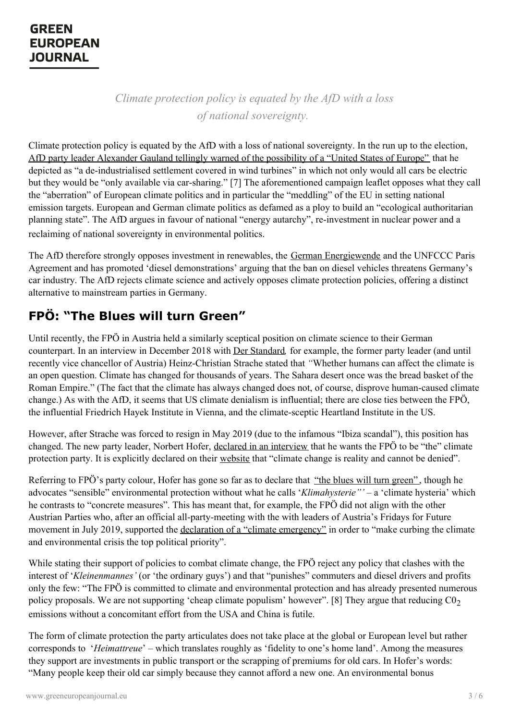*Climate protection policy is equated by the AfD with a loss of national sovereignty.*

Climate protection policy is equated by the AfD with a loss of national sovereignty. In the run up to the election, AfD party leader Alexander Gauland tellingly warned of the [possibility](https://www.spiegel.de/international/germany/afd-seeks-votes-by-opposing-climate-protection-a-1265494.html) of a "United States of Europe" that he depicted as "a de-industrialised settlement covered in wind turbines" in which not only would all cars be electric but they would be "only available via car-sharing." [7] The aforementioned campaign leaflet opposes what they call the "aberration" of European climate politics and in particular the "meddling" of the EU in setting national emission targets. European and German climate politics as defamed as a ploy to build an "ecological authoritarian planning state". The AfD argues in favour of national "energy autarchy", re-investment in nuclear power and a reclaiming of national sovereignty in environmental politics.

The AfD therefore strongly opposes investment in renewables, the German [Energiewende](https://afdkompakt.de/tag/energiewende/) and the UNFCCC Paris Agreement and has promoted 'diesel demonstrations' arguing that the ban on diesel vehicles threatens Germany's car industry. The AfD rejects climate science and actively opposes climate protection policies, offering a distinct alternative to mainstream parties in Germany.

## **FPÖ: "The Blues will turn Green"**

Until recently, the FPÖ in Austria held a similarly sceptical position on climate science to their German counterpart. In an interview in December 2018 with Der [Standard](https://www.derstandard.at/story/2000093340857/strache-ich-lebe-mit-diesen-vorwuerfen-sehr-gut)*,* for example, the former party leader (and until recently vice chancellor of Austria) Heinz-Christian Strache stated that *"*Whether humans can affect the climate is an open question. Climate has changed for thousands of years. The Sahara desert once was the bread basket of the Roman Empire." (The fact that the climate has always changed does not, of course, disprove human-caused climate change.) As with the AfD, it seems that US climate denialism is influential; there are close ties between the FPÖ, the influential Friedrich Hayek Institute in Vienna, and the climate-sceptic Heartland Institute in the US.

However, after Strache was forced to resign in May 2019 (due to the infamous "Ibiza scandal"), this position has changed. The new party leader, Norbert Hofer, declared in an [interview](https://orf.at/stories/3125788/) that he wants the FPÖ to be "the" climate protection party. It is explicitly declared on their [website](https://www.fpoe.at/wahlprogramm-nrw-2019/wirksamer-umweltschutz-ohne-klimahysterie/) that "climate change is reality and cannot be denied".

Referring to FPÖ's party colour, Hofer has gone so far as to declare that "the blues will turn [green"](https://orf.at/stories/3125788/), though he advocates "sensible" environmental protection without what he calls '*Klimahysterie"'* – a 'climate hysteria' which he contrasts to "concrete measures". This has meant that, for example, the FPÖ did not align with the other Austrian Parties who, after an official all-party-meeting with the with leaders of Austria's Fridays for Future movement in July 2019, supported the declaration of a "climate [emergency"](https://diepresse.com/home/innenpolitik/5653461/Nationalrat_Vier-Parteien-wollen-Klimanotstand-ausrufen) in order to "make curbing the climate and environmental crisis the top political priority".

While stating their support of policies to combat climate change, the FPÖ reject any policy that clashes with the interest of '*Kleinenmannes'* (or 'the ordinary guys') and that "punishes" commuters and diesel drivers and profits only the few: "The FPÖ is committed to climate and environmental protection and has already presented numerous policy [proposals.](https://www.greeneuropeanjournal.eu) We are not supporting 'cheap climate populism' however". [8] They argue that reducing  $C_0$ <sub>2</sub> emissions without a concomitant effort from the USA and China is futile.

The form of climate protection the party articulates does not take place at the global or European level but rather corresponds to '*Heimattreue*' – which translates roughly as 'fidelity to one's home land'. Among the measures they support are investments in public transport or the scrapping of premiums for old cars. In Hofer's words: "Many people keep their old car simply because they cannot afford a new one. An environmental bonus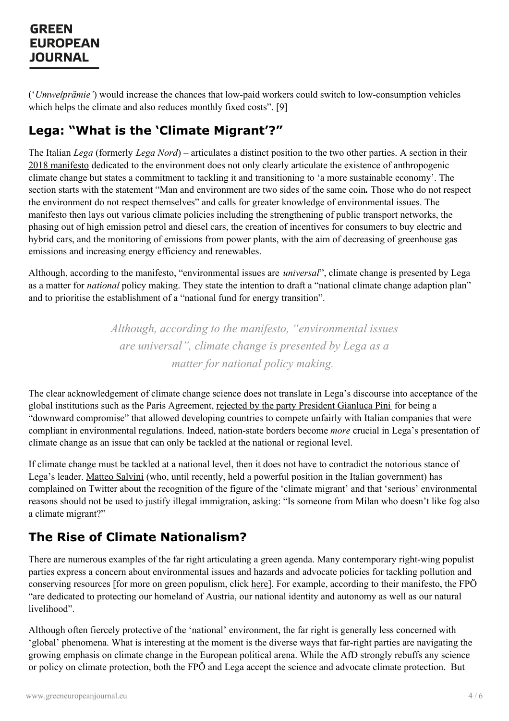('*Umwelprämie'*) would increase the chances that low-paid workers could switch to low-consumption vehicles which helps the climate and also reduces monthly fixed costs". [9]

## **Lega: "What is the 'Climate Migrant'?"**

The Italian *Lega* (formerly *Lega Nord*) – articulates a distinct position to the two other parties. A section in their 2018 [manifesto](https://www.leganord.org/il-movimento/politiche-2018) dedicated to the environment does not only clearly articulate the existence of anthropogenic climate change but states a commitment to tackling it and transitioning to 'a more sustainable economy'. The section starts with the statement "Man and environment are two sides of the same coin*.* Those who do not respect the environment do not respect themselves" and calls for greater knowledge of environmental issues. The manifesto then lays out various climate policies including the strengthening of public transport networks, the phasing out of high emission petrol and diesel cars, the creation of incentives for consumers to buy electric and hybrid cars, and the monitoring of emissions from power plants, with the aim of decreasing of greenhouse gas emissions and increasing energy efficiency and renewables.

Although, according to the manifesto, "environmental issues are *universal*", climate change is presented by Lega as a matter for *national* policy making. They state the intention to draft a "national climate change adaption plan" and to prioritise the establishment of a "national fund for energy transition".

> *Although, according to the manifesto, "environmental issues are universal", climate change is presented by Lega as a matter for national policy making.*

The clear acknowledgement of climate change science does not translate in Lega's discourse into acceptance of the global institutions such as the Paris Agreement, rejected by the party [President](https://www.leganord.org/il-movimento/regolamento-congresso-federale-2017/217-notizie/15645-clima-pini-ln-compromesso-al-ribasso-limiti-non-imposti-a-cina-india-e-usa) Gianluca Pini for being a "downward compromise" that allowed developing countries to compete unfairly with Italian companies that were compliant in environmental regulations. Indeed, nation-state borders become *more* crucial in Lega's presentation of climate change as an issue that can only be tackled at the national or regional level.

If climate change must be tackled at a national level, then it does not have to contradict the notorious stance of Lega's leader. Matteo [Salvini](http://www.ilgiornale.it/news/politica/leuropa-spalanca-porte-libera-ai-migranti-climatici-1486186.html) (who, until recently, held a powerful position in the Italian government) has complained on Twitter about the recognition of the figure of the 'climate migrant' and that 'serious' environmental reasons should not be used to justify illegal immigration, asking: "Is someone from Milan who doesn't like fog also a climate migrant?"

## **The Rise of Climate Nationalism?**

There are numerous examples of the far right articulating a green agenda. Many contemporary right-wing populist parties express a concern about environmental issues and hazards and advocate policies for tackling pollution and conserving resources [for more on green populism, click [here](http://www.greeneuropeanjournal.eu/the-nature-of-green-populism)]. For example, according to their manifesto, the FPÖ "are dedicated to protecting our homeland of Austria, our national identity and autonomy as well as our natural [livelihood".](https://www.greeneuropeanjournal.eu)

Although often fiercely protective of the 'national' environment, the far right is generally less concerned with 'global' phenomena. What is interesting at the moment is the diverse ways that far-right parties are navigating the growing emphasis on climate change in the European political arena. While the AfD strongly rebuffs any science or policy on climate protection, both the FPÖ and Lega accept the science and advocate climate protection. But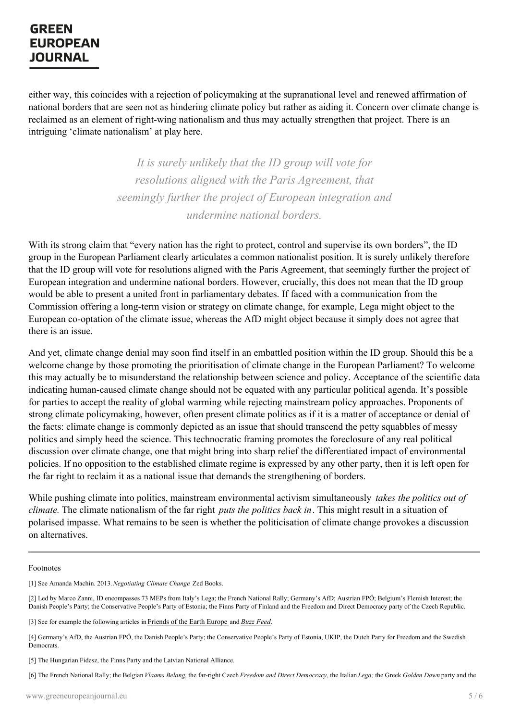either way, this coincides with a rejection of policymaking at the supranational level and renewed affirmation of national borders that are seen not as hindering climate policy but rather as aiding it. Concern over climate change is reclaimed as an element of right-wing nationalism and thus may actually strengthen that project. There is an intriguing 'climate nationalism' at play here.

> *It is surely unlikely that the ID group will vote for resolutions aligned with the Paris Agreement, that seemingly further the project of European integration and undermine national borders.*

With its strong claim that "every nation has the right to protect, control and supervise its own borders", the ID group in the European Parliament clearly articulates a common nationalist position. It is surely unlikely therefore that the ID group will vote for resolutions aligned with the Paris Agreement, that seemingly further the project of European integration and undermine national borders. However, crucially, this does not mean that the ID group would be able to present a united front in parliamentary debates. If faced with a communication from the Commission offering a long-term vision or strategy on climate change, for example, Lega might object to the European co-optation of the climate issue, whereas the AfD might object because it simply does not agree that there is an issue.

And yet, climate change denial may soon find itself in an embattled position within the ID group. Should this be a welcome change by those promoting the prioritisation of climate change in the European Parliament? To welcome this may actually be to misunderstand the relationship between science and policy. Acceptance of the scientific data indicating human-caused climate change should not be equated with any particular political agenda. It's possible for parties to accept the reality of global warming while rejecting mainstream policy approaches. Proponents of strong climate policymaking, however, often present climate politics as if it is a matter of acceptance or denial of the facts: climate change is commonly depicted as an issue that should transcend the petty squabbles of messy politics and simply heed the science. This technocratic framing promotes the foreclosure of any real political discussion over climate change, one that might bring into sharp relief the differentiated impact of environmental policies. If no opposition to the established climate regime is expressed by any other party, then it is left open for the far right to reclaim it as a national issue that demands the strengthening of borders.

While pushing climate into politics, mainstream environmental activism simultaneously *takes the politics out of climate.* The climate nationalism of the far right *puts the politics back in*. This might result in a situation of polarised impasse. What remains to be seen is whether the politicisation of climate change provokes a discussion on alternatives.

Footnotes

[1] See Amanda Machin. 2013.*Negotiating Climate Change*. Zed Books.

[2] Led by Marco Zanni, ID encompasses 73 MEPs from Italy's Lega; the French National Rally; Germany's AfD; Austrian FPÖ; Belgium's Flemish Interest; the Danish People's Party; the [Conservat](https://www.greeneuropeanjournal.eu)ive People's Party of Estonia; the Finns Party of Finland and the Freedom and Direct Democracy party of the Czech Republic.

[3] See for example the following articles in [Friends](http://www.foeeurope.org/far-right-game-over-climate-030519) of the Earth Europe and *Buzz [Feed](https://www.buzzfeednews.com/article/albertonardelli/italy-climate-change-cop26-matteo-salvini)*.

<sup>[4]</sup> Germany's AfD, the Austrian FPÖ, the Danish People's Party; the Conservative People's Party of Estonia, UKIP, the Dutch Party for Freedom and the Swedish Democrats.

<sup>[5]</sup> The Hungarian Fidesz, the Finns Party and the Latvian National Alliance.

<sup>[6]</sup> The French National Rally; the Belgian *Vlaams Belang*, the far-right Czech *Freedom and Direct Democracy*, the Italian *Lega;* the Greek *Golden Dawn* party and the